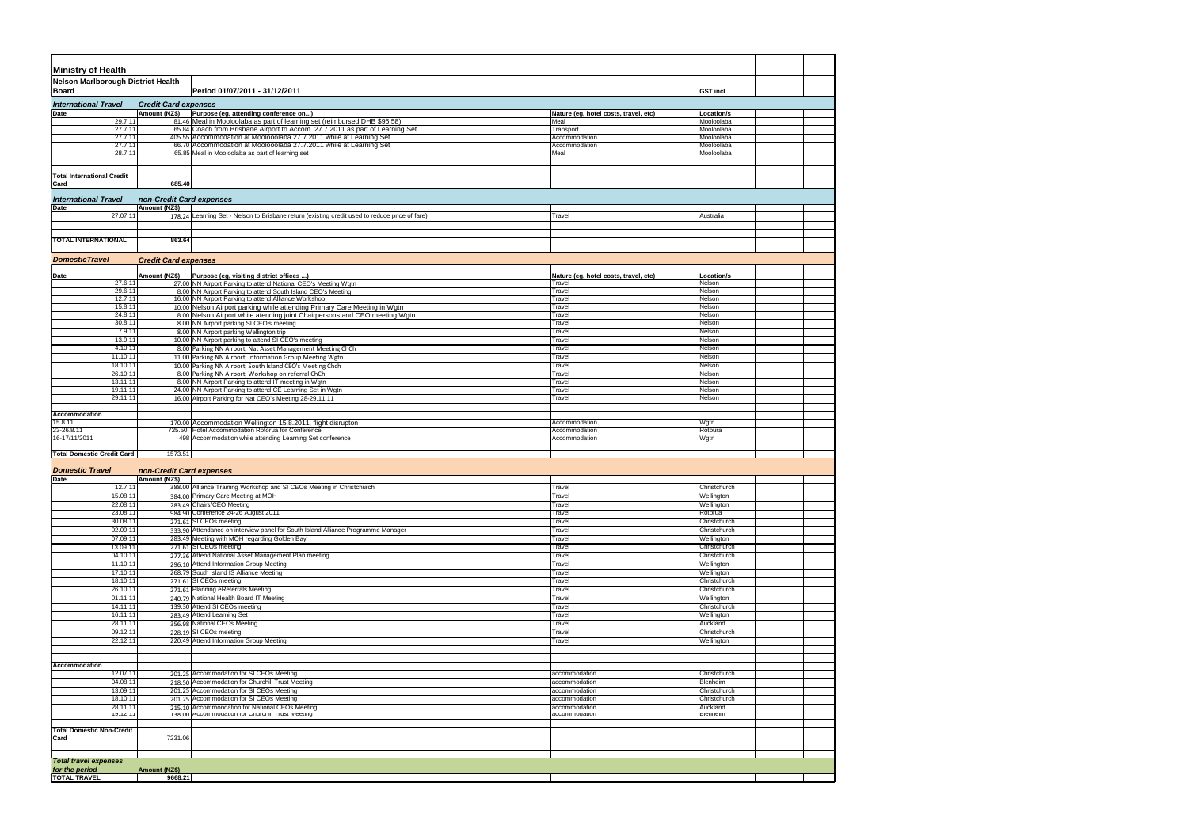| <b>Ministry of Health</b>                 |                                              |                                                                                                                                           |                                                 |                              |  |
|-------------------------------------------|----------------------------------------------|-------------------------------------------------------------------------------------------------------------------------------------------|-------------------------------------------------|------------------------------|--|
| <b>Nelson Marlborough District Health</b> |                                              |                                                                                                                                           |                                                 |                              |  |
| Board                                     |                                              | Period 01/07/2011 - 31/12/2011                                                                                                            |                                                 | <b>GST incl</b>              |  |
| <b>International Travel</b><br>Date       | <b>Credit Card expenses</b><br>Amount (NZ\$) | Purpose (eg, attending conference on)                                                                                                     | Nature (eg, hotel costs, travel, etc)           | Location/s                   |  |
| 29.7.11                                   |                                              | 81.46 Meal in Mooloolaba as part of learning set (reimbursed DHB \$95.58)                                                                 | Meal                                            | Mooloolaba                   |  |
| 27.7.11                                   |                                              | 65.84 Coach from Brisbane Airport to Accom. 27.7.2011 as part of Learning Set                                                             | Transport                                       | Mooloolaba                   |  |
| 27.7.11<br>27.7.11                        |                                              | 405.55 Accommodation at Moolooolaba 27.7.2011 while at Learning Set<br>66.70 Accommodation at Moolooolaba 27.7.2011 while at Learning Set | Accommodation<br>Accommodation                  | Mooloolaba<br>Mooloolaba     |  |
| 28.7.11                                   |                                              | 65.85 Meal in Mooloolaba as part of learning set                                                                                          | Meal                                            | Mooloolaba                   |  |
|                                           |                                              |                                                                                                                                           |                                                 |                              |  |
| <b>Total International Credit</b>         |                                              |                                                                                                                                           |                                                 |                              |  |
| Card                                      | 685.40                                       |                                                                                                                                           |                                                 |                              |  |
| <b>International Travel</b><br>Date       | non-Credit Card expenses<br>Amount (NZ\$)    |                                                                                                                                           |                                                 |                              |  |
| 27.07.11                                  |                                              | 178.24 Learning Set - Nelson to Brisbane return (existing credit used to reduce price of fare)                                            | Travel                                          | Australia                    |  |
|                                           |                                              |                                                                                                                                           |                                                 |                              |  |
| <b>TOTAL INTERNATIONAL</b>                | 863.64                                       |                                                                                                                                           |                                                 |                              |  |
|                                           |                                              |                                                                                                                                           |                                                 |                              |  |
| <b>DomesticTravel</b>                     | <b>Credit Card expenses</b>                  |                                                                                                                                           |                                                 |                              |  |
|                                           |                                              |                                                                                                                                           |                                                 |                              |  |
| Date<br>27.6.11                           | Amount (NZ\$)                                | Purpose (eg, visiting district offices )<br>27.00 NN Airport Parking to attend National CEO's Meeting Wgtn                                | Nature (eg, hotel costs, travel, etc)<br>Travel | Location/s<br>Nelson         |  |
| 29.6.11                                   |                                              | 8.00 NN Airport Parking to attend South Island CEO's Meeting                                                                              | Travel                                          | Nelson                       |  |
| 12.7.11                                   |                                              | 16.00 NN Airport Parking to attend Alliance Workshop                                                                                      | Travel                                          | Nelson                       |  |
| 15.8.11                                   |                                              | 10.00 Nelson Airport parking while attending Primary Care Meeting in Wgtn                                                                 | Travel                                          | Nelson                       |  |
| 24.8.11<br>30.8.11                        |                                              | 8.00 Nelson Airport while atending joint Chairpersons and CEO meeting Wgtn<br>8.00 NN Airport parking SI CEO's meeting                    | Travel<br>Travel                                | Nelson<br>Nelson             |  |
| 7.9.11                                    |                                              | 8.00 NN Airport parking Wellington trip                                                                                                   | Travel                                          | Nelson                       |  |
| 13.9.11                                   |                                              | 10.00 NN Airport parking to attend SI CEO's meeting                                                                                       | Travel                                          | Nelson                       |  |
| 4.10.11                                   |                                              | 8.00 Parking NN Airport, Nat Asset Management Meeting ChCh                                                                                | Travel                                          | Nelson                       |  |
| 11.10.11                                  |                                              | 11.00 Parking NN Airport, Information Group Meeting Wgtn                                                                                  | Travel                                          | Nelson                       |  |
| 18.10.11<br>26.10.11                      |                                              | 10.00 Parking NN Airport, South Island CEO's Meeting Chch<br>8.00 Parking NN Airport, Workshop on referral ChCh                           | Travel<br>Travel                                | Nelson<br>Nelson             |  |
| 13.11.11                                  |                                              | 8.00 NN Airport Parking to attend IT meeting in Wgtn                                                                                      | Travel                                          | Nelson                       |  |
| 19.11.11                                  |                                              | 24.00 NN Airport Parking to attend CE Learning Set in Wgtn                                                                                | Travel                                          | Nelson                       |  |
| 29.11.11                                  |                                              | 16.00 Airport Parking for Nat CEO's Meeting 28-29.11.11                                                                                   | Travel                                          | Nelson                       |  |
| Accommodation                             |                                              |                                                                                                                                           |                                                 |                              |  |
| 15.8.11                                   |                                              | 170.00 Accommodation Wellington 15.8.2011, flight disrupton                                                                               | Accommodation                                   | Wgtn                         |  |
| 23-26.8.11                                |                                              | 725.50 Hotel Accommodation Rotorua for Conference                                                                                         | Accommodation                                   | Rotoura                      |  |
| 16-17/11/2011                             |                                              | 498 Accommodation while attending Learning Set conference                                                                                 | Accommodation                                   | Wgtn                         |  |
| <b>Total Domestic Credit Card</b>         | 1573.51                                      |                                                                                                                                           |                                                 |                              |  |
|                                           |                                              |                                                                                                                                           |                                                 |                              |  |
| <b>Domestic Travel</b><br>Date            | non-Credit Card expenses<br>Amount (NZ\$)    |                                                                                                                                           |                                                 |                              |  |
| 12.7.11                                   |                                              | 388.00 Alliance Training Workshop and SI CEOs Meeting in Christchurch                                                                     | Travel                                          | Christchurch                 |  |
| 15.08.11                                  |                                              | 384.00 Primary Care Meeting at MOH                                                                                                        | Travel                                          | Wellington                   |  |
| 22.08.11                                  |                                              | 283.49 Chairs/CEO Meeting                                                                                                                 | Travel                                          | Wellington                   |  |
| 23.08.11                                  |                                              | 984.90 Conference 24-26 August 2011                                                                                                       | Travel                                          | Rotorua                      |  |
| 30.08.11<br>02.09.11                      |                                              | 271.61 SI CEOs meeting<br>333.90 Attendance on interview panel for South Island Alliance Programme Manager                                | Travel<br>Travel                                | Christchurch<br>Christchurch |  |
| 07.09.11                                  |                                              | 283.49 Meeting with MOH regarding Golden Bay                                                                                              | Travel                                          | Wellington                   |  |
| 13.09.11                                  |                                              | 271.61 SI CEOs meeting                                                                                                                    | Travel                                          | Christchurch                 |  |
| 04.10.11                                  |                                              | 277.36 Attend National Asset Management Plan meeting                                                                                      | Travel                                          | Christchurch                 |  |
| 11.10.11                                  |                                              | 296.10 Attend Information Group Meeting                                                                                                   | Travel                                          | Wellington                   |  |
| 17.10.11<br>18.10.11                      |                                              | 268.79 South Island IS Alliance Meeting<br>271.61 SI CEOs meeting                                                                         | Travel<br>Travel                                | Wellington<br>Christchurch   |  |
| 26.10.11                                  |                                              | 271.61 Planning eReferrals Meeting                                                                                                        | Travel                                          | Christchurch                 |  |
| 01.11.11                                  |                                              | 240.79 National Health Board IT Meeting                                                                                                   | Travel                                          | Wellington                   |  |
| 14.11.11                                  |                                              | 139.30 Attend SI CEOs meeting                                                                                                             | Travel                                          | Christchurch                 |  |
| 16.11.11                                  |                                              | 283.49 Attend Learning Set                                                                                                                | Travel                                          | Wellington                   |  |
| 28.11.11                                  |                                              | 356.98 National CEOs Meeting                                                                                                              | Travel                                          | Auckland                     |  |
| 09.12.11<br>22.12.11                      |                                              | 228.19 SI CEOs meeting<br>220.49 Attend Information Group Meeting                                                                         | Travel<br>Travel                                | Christchurch<br>Wellington   |  |
|                                           |                                              |                                                                                                                                           |                                                 |                              |  |
|                                           |                                              |                                                                                                                                           |                                                 |                              |  |
| Accommodation                             |                                              |                                                                                                                                           |                                                 |                              |  |
| 12.07.11                                  |                                              | 201.25 Accommodation for SI CEOs Meeting<br>218.50 Accommodation for Churchill Trust Meeting                                              | accommodation                                   | Christchurch                 |  |
| 04.08.11<br>13.09.11                      |                                              | 201.25 Accommodation for SI CEOs Meeting                                                                                                  | accommodation<br>accommodation                  | Blenheim<br>Christchurch     |  |
| 18.10.11                                  |                                              | 201.25 Accommodation for SI CEOs Meeting                                                                                                  | accommodation                                   | Christchurch                 |  |
| 28.11.11                                  |                                              | 215.10 Accommondation for National CEOs Meeting                                                                                           | accommodation                                   | Auckland                     |  |
| 19.12.11                                  |                                              | 138.00 Accommodation for Churchill I rust Meeting                                                                                         | accommodation                                   | <b>Bienneim</b>              |  |
| <b>Total Domestic Non-Credit</b>          |                                              |                                                                                                                                           |                                                 |                              |  |
| Card                                      | 7231.06                                      |                                                                                                                                           |                                                 |                              |  |
|                                           |                                              |                                                                                                                                           |                                                 |                              |  |
| <b>Total travel expenses</b>              |                                              |                                                                                                                                           |                                                 |                              |  |
| for the period                            | Amount (NZ\$)                                |                                                                                                                                           |                                                 |                              |  |
| <b>TOTAL TRAVEL</b>                       | 9668.21                                      |                                                                                                                                           |                                                 |                              |  |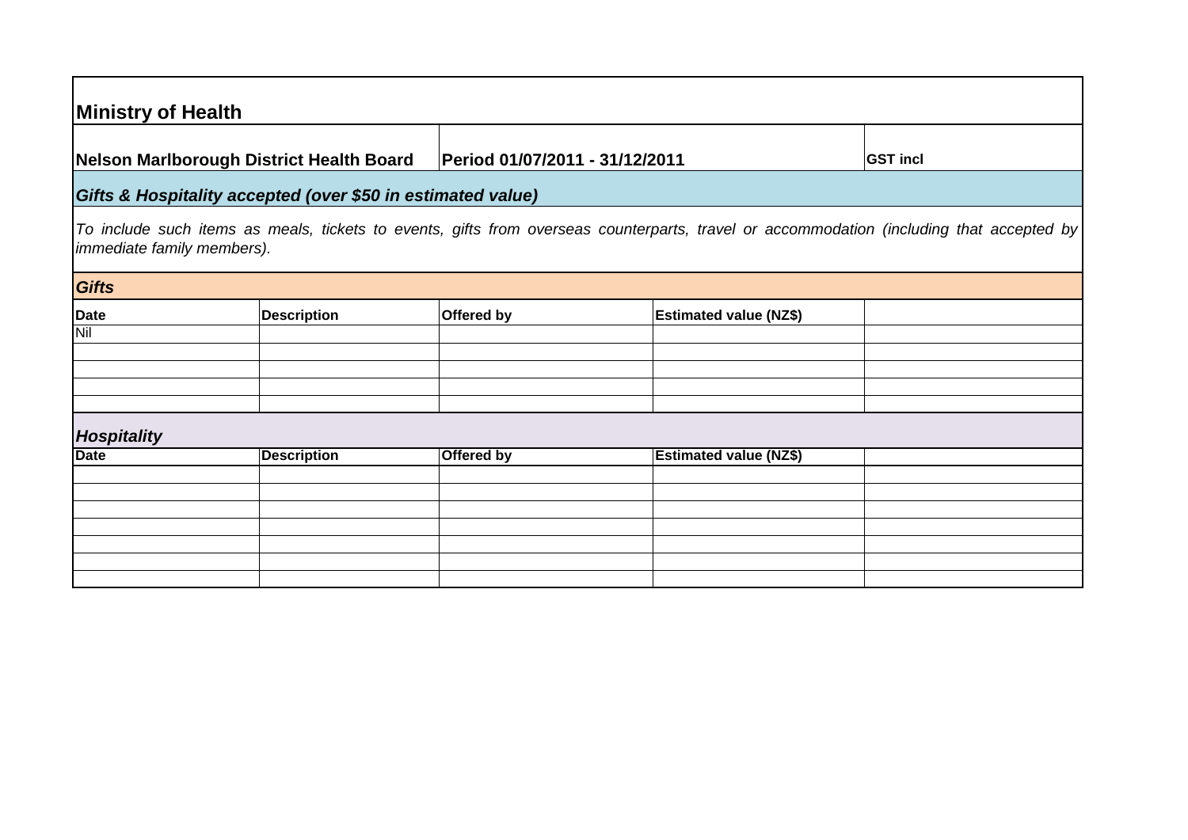| <b>Ministry of Health</b>  |                                                             |                                |                               |                                                                                                                                          |
|----------------------------|-------------------------------------------------------------|--------------------------------|-------------------------------|------------------------------------------------------------------------------------------------------------------------------------------|
|                            | Nelson Marlborough District Health Board                    | Period 01/07/2011 - 31/12/2011 |                               | <b>GST incl</b>                                                                                                                          |
|                            | Gifts & Hospitality accepted (over \$50 in estimated value) |                                |                               |                                                                                                                                          |
| immediate family members). |                                                             |                                |                               | To include such items as meals, tickets to events, gifts from overseas counterparts, travel or accommodation (including that accepted by |
| Gifts                      |                                                             |                                |                               |                                                                                                                                          |
| <b>Date</b>                | <b>Description</b>                                          | Offered by                     | <b>Estimated value (NZ\$)</b> |                                                                                                                                          |
| Nil                        |                                                             |                                |                               |                                                                                                                                          |
|                            |                                                             |                                |                               |                                                                                                                                          |
|                            |                                                             |                                |                               |                                                                                                                                          |
|                            |                                                             |                                |                               |                                                                                                                                          |
| Hospitality                |                                                             |                                |                               |                                                                                                                                          |
| <b>Date</b>                | <b>Description</b>                                          | Offered by                     | <b>Estimated value (NZ\$)</b> |                                                                                                                                          |
|                            |                                                             |                                |                               |                                                                                                                                          |
|                            |                                                             |                                |                               |                                                                                                                                          |
|                            |                                                             |                                |                               |                                                                                                                                          |
|                            |                                                             |                                |                               |                                                                                                                                          |
|                            |                                                             |                                |                               |                                                                                                                                          |
|                            |                                                             |                                |                               |                                                                                                                                          |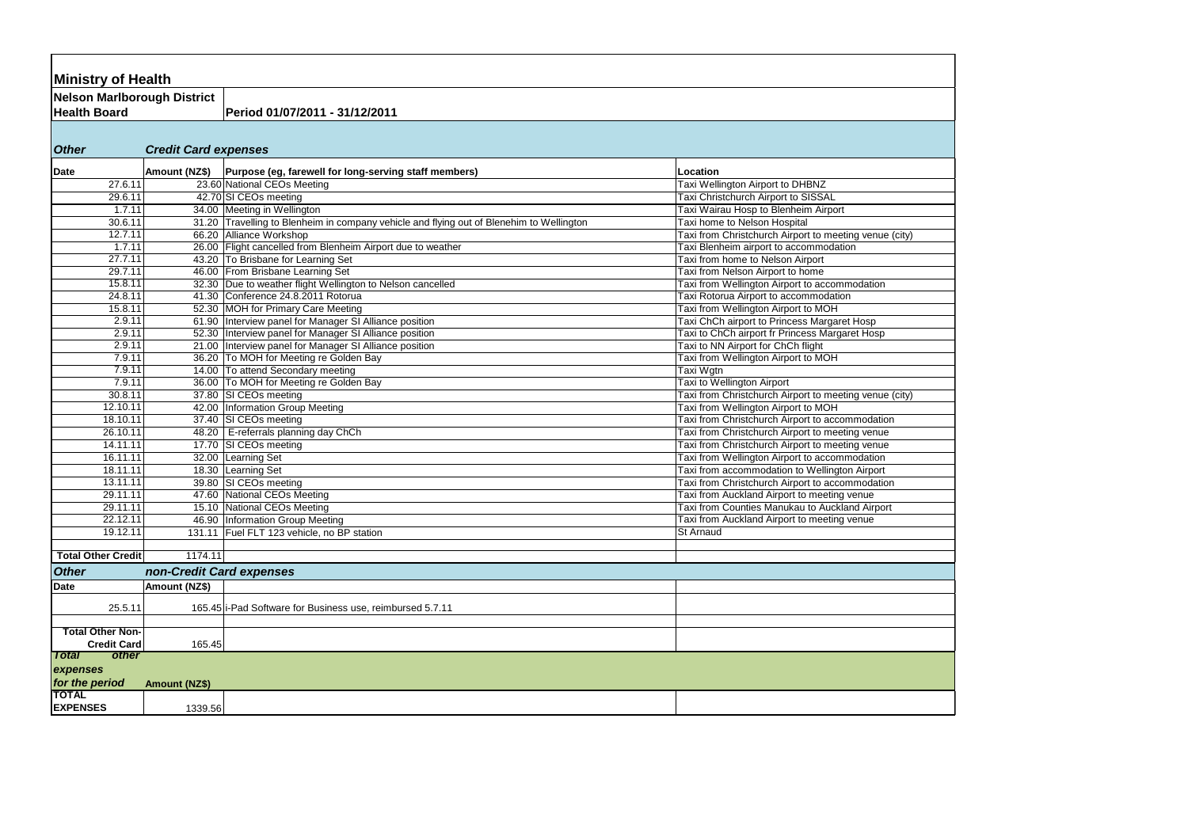| <b>Ministry of Health</b>                |                             |                                                                                          |                                                                                               |
|------------------------------------------|-----------------------------|------------------------------------------------------------------------------------------|-----------------------------------------------------------------------------------------------|
| Nelson Marlborough District              |                             |                                                                                          |                                                                                               |
| <b>Health Board</b>                      |                             | Period 01/07/2011 - 31/12/2011                                                           |                                                                                               |
|                                          |                             |                                                                                          |                                                                                               |
|                                          |                             |                                                                                          |                                                                                               |
| <b>Other</b>                             | <b>Credit Card expenses</b> |                                                                                          |                                                                                               |
|                                          |                             |                                                                                          |                                                                                               |
| Date                                     | Amount (NZ\$)               | Purpose (eg, farewell for long-serving staff members)                                    | Location                                                                                      |
| 27.6.11                                  |                             | 23.60 National CEOs Meeting                                                              | Taxi Wellington Airport to DHBNZ<br>Taxi Christchurch Airport to SISSAL                       |
| 29.6.11                                  |                             | 42.70 SI CEOs meeting                                                                    |                                                                                               |
| 1.7.11                                   |                             | 34.00 Meeting in Wellington                                                              | Taxi Wairau Hosp to Blenheim Airport                                                          |
| 30.6.11                                  |                             | 31.20 Travelling to Blenheim in company vehicle and flying out of Blenehim to Wellington | Taxi home to Nelson Hospital                                                                  |
| 12.7.11                                  |                             | 66.20 Alliance Workshop                                                                  | Taxi from Christchurch Airport to meeting venue (city)                                        |
| 1.7.11                                   |                             | 26.00 Flight cancelled from Blenheim Airport due to weather                              | Taxi Blenheim airport to accommodation                                                        |
| 27.7.11                                  |                             | 43.20 To Brisbane for Learning Set                                                       | Taxi from home to Nelson Airport                                                              |
| 29.7.11                                  |                             | 46.00 From Brisbane Learning Set                                                         | Taxi from Nelson Airport to home                                                              |
| 15.8.11                                  |                             | 32.30 Due to weather flight Wellington to Nelson cancelled                               | Taxi from Wellington Airport to accommodation                                                 |
| 24.8.11                                  |                             | 41.30 Conference 24.8.2011 Rotorua                                                       | Taxi Rotorua Airport to accommodation                                                         |
| 15.8.11                                  |                             | 52.30 MOH for Primary Care Meeting                                                       | Taxi from Wellington Airport to MOH                                                           |
| 2.9.11<br>2.9.11                         |                             | 61.90 Interview panel for Manager SI Alliance position                                   | Taxi ChCh airport to Princess Margaret Hosp                                                   |
|                                          |                             | 52.30   Interview panel for Manager SI Alliance position                                 | Taxi to ChCh airport fr Princess Margaret Hosp                                                |
| 2.9.11                                   |                             | 21.00   Interview panel for Manager SI Alliance position                                 | Taxi to NN Airport for ChCh flight                                                            |
| 7.9.11                                   |                             | 36.20 To MOH for Meeting re Golden Bay                                                   | Taxi from Wellington Airport to MOH                                                           |
| 7.9.11<br>7.9.11                         |                             | 14.00 To attend Secondary meeting                                                        | Taxi Wgtn                                                                                     |
| 30.8.11                                  |                             | 36.00 To MOH for Meeting re Golden Bay                                                   | Taxi to Wellington Airport                                                                    |
| 12.10.11                                 |                             | 37.80 SI CEOs meeting<br>42.00   Information Group Meeting                               | Taxi from Christchurch Airport to meeting venue (city)<br>Taxi from Wellington Airport to MOH |
| 18.10.11                                 |                             | 37.40 SI CEOs meeting                                                                    | Taxi from Christchurch Airport to accommodation                                               |
| 26.10.11                                 |                             |                                                                                          |                                                                                               |
|                                          |                             | 48.20   E-referrals planning day ChCh                                                    | Taxi from Christchurch Airport to meeting venue                                               |
| 14.11.11<br>16.11.11                     |                             | 17.70 SI CEOs meeting                                                                    | Taxi from Christchurch Airport to meeting venue                                               |
|                                          |                             | 32.00 Learning Set                                                                       | Taxi from Wellington Airport to accommodation                                                 |
| 18.11.11                                 |                             | 18.30 Learning Set                                                                       | Taxi from accommodation to Wellington Airport                                                 |
| 13.11.11                                 |                             | 39.80 SI CEOs meeting                                                                    | Taxi from Christchurch Airport to accommodation                                               |
| 29.11.11                                 |                             | 47.60 National CEOs Meeting                                                              | Taxi from Auckland Airport to meeting venue                                                   |
| 29.11.11                                 |                             | 15.10 National CEOs Meeting                                                              | Taxi from Counties Manukau to Auckland Airport                                                |
| 22.12.11                                 |                             | 46.90 Information Group Meeting                                                          | Taxi from Auckland Airport to meeting venue                                                   |
| 19.12.11                                 |                             | 131.11 Fuel FLT 123 vehicle, no BP station                                               | St Arnaud                                                                                     |
| <b>Total Other Credit</b>                | 1174.11                     |                                                                                          |                                                                                               |
|                                          |                             |                                                                                          |                                                                                               |
| <b>Other</b><br>non-Credit Card expenses |                             |                                                                                          |                                                                                               |
| <b>Date</b>                              | Amount (NZ\$)               |                                                                                          |                                                                                               |
| 25.5.11                                  |                             | 165.45 i-Pad Software for Business use, reimbursed 5.7.11                                |                                                                                               |
|                                          |                             |                                                                                          |                                                                                               |
| <b>Total Other Non-</b>                  |                             |                                                                                          |                                                                                               |
| <b>Credit Card</b>                       | 165.45                      |                                                                                          |                                                                                               |
| <b>other</b><br><b>Total</b>             |                             |                                                                                          |                                                                                               |
| expenses                                 |                             |                                                                                          |                                                                                               |
| for the period                           | <b>Amount (NZ\$)</b>        |                                                                                          |                                                                                               |
| <b>TOTAL</b>                             |                             |                                                                                          |                                                                                               |
| <b>EXPENSES</b>                          | 1339.56                     |                                                                                          |                                                                                               |
|                                          |                             |                                                                                          |                                                                                               |